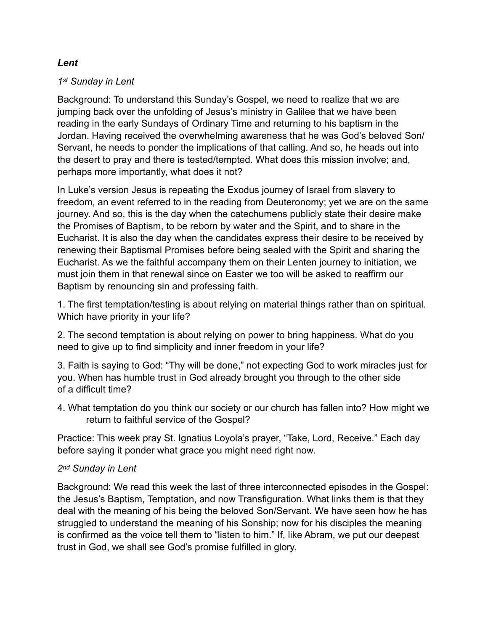#### *Lent*

### *1st Sunday in Lent*

Background: To understand this Sunday's Gospel, we need to realize that we are jumping back over the unfolding of Jesus's ministry in Galilee that we have been reading in the early Sundays of Ordinary Time and returning to his baptism in the Jordan. Having received the overwhelming awareness that he was God's beloved Son/ Servant, he needs to ponder the implications of that calling. And so, he heads out into the desert to pray and there is tested/tempted. What does this mission involve; and, perhaps more importantly, what does it not?

In Luke's version Jesus is repeating the Exodus journey of Israel from slavery to freedom, an event referred to in the reading from Deuteronomy; yet we are on the same journey. And so, this is the day when the catechumens publicly state their desire make the Promises of Baptism, to be reborn by water and the Spirit, and to share in the Eucharist. It is also the day when the candidates express their desire to be received by renewing their Baptismal Promises before being sealed with the Spirit and sharing the Eucharist. As we the faithful accompany them on their Lenten journey to initiation, we must join them in that renewal since on Easter we too will be asked to reaffirm our Baptism by renouncing sin and professing faith.

1. The first temptation/testing is about relying on material things rather than on spiritual. Which have priority in your life?

2. The second temptation is about relying on power to bring happiness. What do you need to give up to find simplicity and inner freedom in your life?

3. Faith is saying to God: "Thy will be done," not expecting God to work miracles just for you. When has humble trust in God already brought you through to the other side of a difficult time?

4. What temptation do you think our society or our church has fallen into? How might we return to faithful service of the Gospel?

Practice: This week pray St. Ignatius Loyola's prayer, "Take, Lord, Receive." Each day before saying it ponder what grace you might need right now.

## *2nd Sunday in Lent*

Background: We read this week the last of three interconnected episodes in the Gospel: the Jesus's Baptism, Temptation, and now Transfiguration. What links them is that they deal with the meaning of his being the beloved Son/Servant. We have seen how he has struggled to understand the meaning of his Sonship; now for his disciples the meaning is confirmed as the voice tell them to "listen to him." If, like Abram, we put our deepest trust in God, we shall see God's promise fulfilled in glory.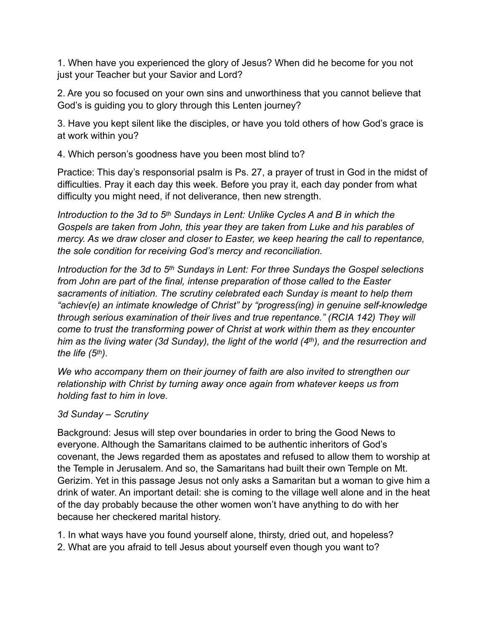1. When have you experienced the glory of Jesus? When did he become for you not just your Teacher but your Savior and Lord?

2. Are you so focused on your own sins and unworthiness that you cannot believe that God's is guiding you to glory through this Lenten journey?

3. Have you kept silent like the disciples, or have you told others of how God's grace is at work within you?

4. Which person's goodness have you been most blind to?

Practice: This day's responsorial psalm is Ps. 27, a prayer of trust in God in the midst of difficulties. Pray it each day this week. Before you pray it, each day ponder from what difficulty you might need, if not deliverance, then new strength.

*Introduction to the 3d to 5<sup>th</sup> Sundays in Lent: Unlike Cycles A and B in which the Gospels are taken from John, this year they are taken from Luke and his parables of mercy. As we draw closer and closer to Easter, we keep hearing the call to repentance, the sole condition for receiving God's mercy and reconciliation.* 

*Introduction for the 3d to 5th Sundays in Lent: For three Sundays the Gospel selections from John are part of the final, intense preparation of those called to the Easter sacraments of initiation. The scrutiny celebrated each Sunday is meant to help them "achiev(e) an intimate knowledge of Christ" by "progress(ing) in genuine self-knowledge through serious examination of their lives and true repentance." (RCIA 142) They will come to trust the transforming power of Christ at work within them as they encounter him as the living water (3d Sunday), the light of the world (4th), and the resurrection and the life (5th).*

*We who accompany them on their journey of faith are also invited to strengthen our relationship with Christ by turning away once again from whatever keeps us from holding fast to him in love.*

# *3d Sunday – Scrutiny*

Background: Jesus will step over boundaries in order to bring the Good News to everyone. Although the Samaritans claimed to be authentic inheritors of God's covenant, the Jews regarded them as apostates and refused to allow them to worship at the Temple in Jerusalem. And so, the Samaritans had built their own Temple on Mt. Gerizim. Yet in this passage Jesus not only asks a Samaritan but a woman to give him a drink of water. An important detail: she is coming to the village well alone and in the heat of the day probably because the other women won't have anything to do with her because her checkered marital history.

1. In what ways have you found yourself alone, thirsty, dried out, and hopeless?

2. What are you afraid to tell Jesus about yourself even though you want to?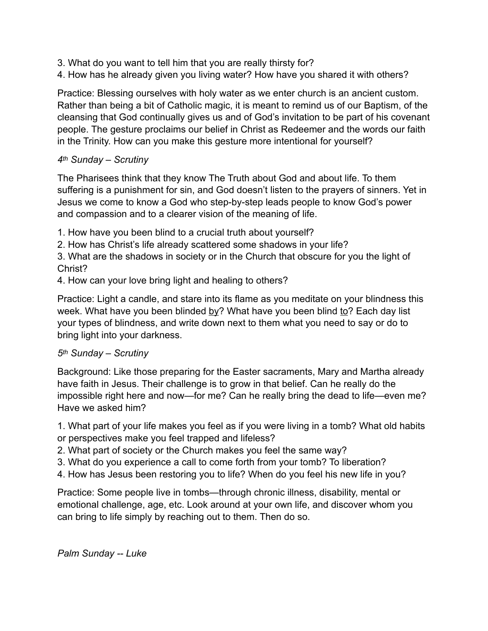- 3. What do you want to tell him that you are really thirsty for?
- 4. How has he already given you living water? How have you shared it with others?

Practice: Blessing ourselves with holy water as we enter church is an ancient custom. Rather than being a bit of Catholic magic, it is meant to remind us of our Baptism, of the cleansing that God continually gives us and of God's invitation to be part of his covenant people. The gesture proclaims our belief in Christ as Redeemer and the words our faith in the Trinity. How can you make this gesture more intentional for yourself?

## *4th Sunday – Scrutiny*

The Pharisees think that they know The Truth about God and about life. To them suffering is a punishment for sin, and God doesn't listen to the prayers of sinners. Yet in Jesus we come to know a God who step-by-step leads people to know God's power and compassion and to a clearer vision of the meaning of life.

- 1. How have you been blind to a crucial truth about yourself?
- 2. How has Christ's life already scattered some shadows in your life?

3. What are the shadows in society or in the Church that obscure for you the light of Christ? **Christ**?

4. How can your love bring light and healing to others?

Practice: Light a candle, and stare into its flame as you meditate on your blindness this week. What have you been blinded by? What have you been blind to? Each day list your types of blindness, and write down next to them what you need to say or do to bring light into your darkness.

## *5th Sunday – Scrutiny*

Background: Like those preparing for the Easter sacraments, Mary and Martha already have faith in Jesus. Their challenge is to grow in that belief. Can he really do the impossible right here and now—for me? Can he really bring the dead to life—even me? Have we asked him?

1. What part of your life makes you feel as if you were living in a tomb? What old habits or perspectives make you feel trapped and lifeless?

- 2. What part of society or the Church makes you feel the same way?
- 3. What do you experience a call to come forth from your tomb? To liberation?
- 4. How has Jesus been restoring you to life? When do you feel his new life in you?

Practice: Some people live in tombs—through chronic illness, disability, mental or emotional challenge, age, etc. Look around at your own life, and discover whom you can bring to life simply by reaching out to them. Then do so.